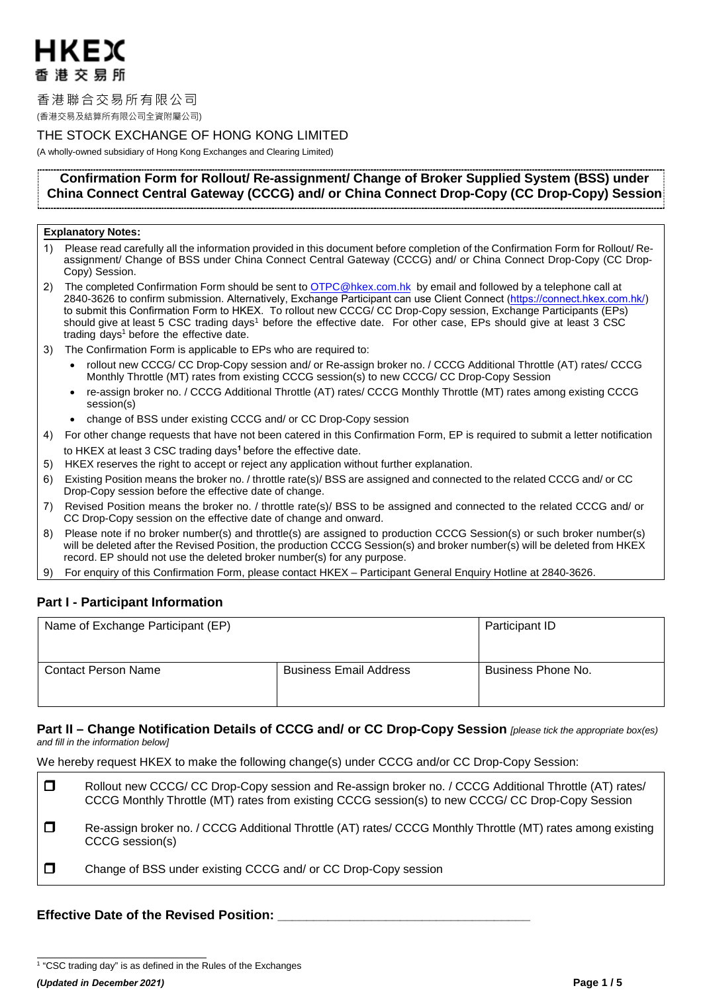# HKFX 香港交易所

香港聯合交易所有限公司

(香港交易及結算所有限公司全資附屬公司)

# THE STOCK EXCHANGE OF HONG KONG LIMITED

(A wholly-owned subsidiary of Hong Kong Exchanges and Clearing Limited)

# **Confirmation Form for Rollout/ Re-assignment/ Change of Broker Supplied System (BSS) under China Connect Central Gateway (CCCG) and/ or China Connect Drop-Copy (CC Drop-Copy) Session**

### **Explanatory Notes:**

- 1) Please read carefully all the information provided in this document before completion of the Confirmation Form for Rollout/ Reassignment/ Change of BSS under China Connect Central Gateway (CCCG) and/ or China Connect Drop-Copy (CC Drop-Copy) Session.
- 2) The completed Confirmation Form should be sent to [OTPC@hkex.com.hk](mailto:OTPC@hkex.com.hk) by email and followed by a telephone call at 2840-3626 to confirm submission. Alternatively, Exchange Participant can use Client Connect [\(https://connect.hkex.com.hk/\)](https://connect.hkex.com.hk)  to submit this Confirmation Form to HKEX. To rollout new CCCG/ CC Drop-Copy session, Exchange Participants (EPs) should give at least 5 CSC trading days<sup>1</sup> before the effective date. For other case, EPs should give at least 3 CSC trading days<sup>[1](#page-0-0)</sup> before the effective date.
- 3) The Confirmation Form is applicable to EPs who are required to:
	- rollout new CCCG/ CC Drop-Copy session and/ or Re-assign broker no. / CCCG Additional Throttle (AT) rates/ CCCG Monthly Throttle (MT) rates from existing CCCG session(s) to new CCCG/ CC Drop-Copy Session
	- re-assign broker no. / CCCG Additional Throttle (AT) rates/ CCCG Monthly Throttle (MT) rates among existing CCCG session(s)
	- change of BSS under existing CCCG and/ or CC Drop-Copy session
- 4) For other change requests that have not been catered in this Confirmation Form, EP is required to submit a letter notification to HKEX at least 3 CSC trading days**<sup>1</sup>** before the effective date.
- 5) HKEX reserves the right to accept or reject any application without further explanation.
- 6) Existing Position means the broker no. / throttle rate(s)/ BSS are assigned and connected to the related CCCG and/ or CC Drop-Copy session before the effective date of change.
- 7) Revised Position means the broker no. / throttle rate(s)/ BSS to be assigned and connected to the related CCCG and/ or CC Drop-Copy session on the effective date of change and onward.
- 8) Please note if no broker number(s) and throttle(s) are assigned to production CCCG Session(s) or such broker number(s) will be deleted after the Revised Position, the production CCCG Session(s) and broker number(s) will be deleted from HKEX record. EP should not use the deleted broker number(s) for any purpose.
- 9) For enquiry of this Confirmation Form, please contact HKEX Participant General Enquiry Hotline at 2840-3626.

# **Part I - Participant Information**

| Name of Exchange Participant (EP) | Participant ID                |                    |
|-----------------------------------|-------------------------------|--------------------|
| Contact Person Name               | <b>Business Email Address</b> | Business Phone No. |

## **Part II – Change Notification Details of CCCG and/ or CC Drop-Copy Session** *[please tick the appropriate box(es) and fill in the information below]*

We hereby request HKEX to make the following change(s) under CCCG and/or CC Drop-Copy Session:

| $\Box$ | Rollout new CCCG/ CC Drop-Copy session and Re-assign broker no. / CCCG Additional Throttle (AT) rates/<br>CCCG Monthly Throttle (MT) rates from existing CCCG session(s) to new CCCG/ CC Drop-Copy Session |
|--------|------------------------------------------------------------------------------------------------------------------------------------------------------------------------------------------------------------|
| $\Box$ | Re-assign broker no. / CCCG Additional Throttle (AT) rates/ CCCG Monthly Throttle (MT) rates among existing<br>CCCG session(s)                                                                             |
| $\Box$ | Change of BSS under existing CCCG and/ or CC Drop-Copy session                                                                                                                                             |

# **Effective Date of the Revised Position: \_\_\_\_\_\_\_\_\_\_\_\_\_\_\_\_\_\_\_\_\_\_\_\_\_\_\_\_\_\_\_\_\_\_\_**

<span id="page-0-0"></span><sup>&</sup>lt;sup>1</sup> "CSC trading day" is as defined in the Rules of the Exchanges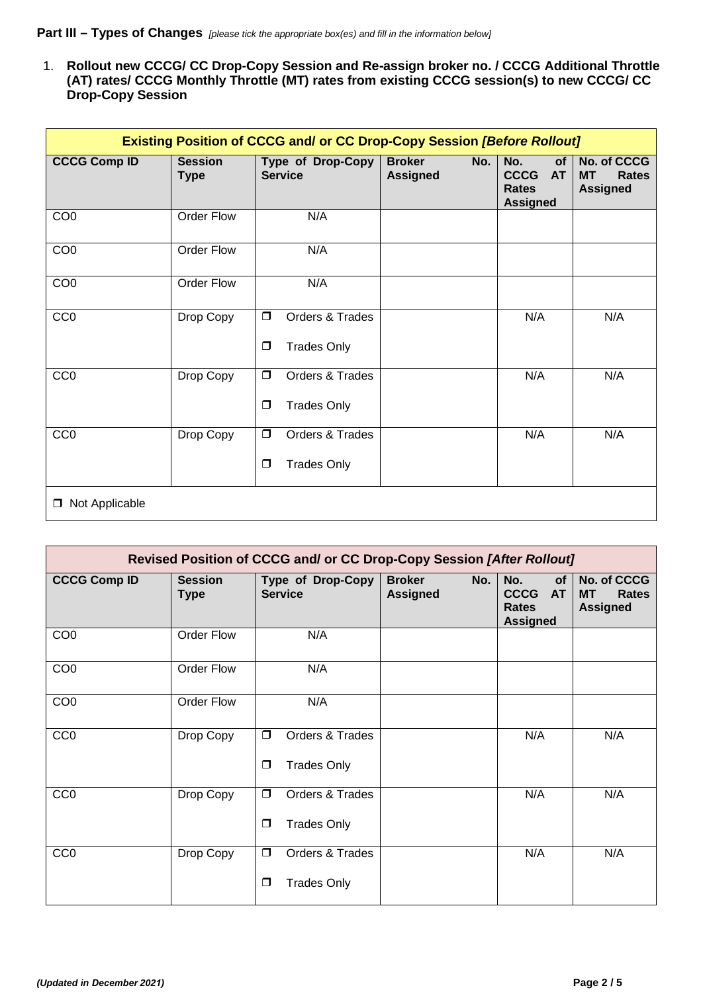1. **Rollout new CCCG/ CC Drop-Copy Session and Re-assign broker no. / CCCG Additional Throttle (AT) rates/ CCCG Monthly Throttle (MT) rates from existing CCCG session(s) to new CCCG/ CC Drop-Copy Session**

| <b>Existing Position of CCCG and/ or CC Drop-Copy Session [Before Rollout]</b> |                               |                                                           |                                         |                                                                          |                                                             |  |  |  |  |
|--------------------------------------------------------------------------------|-------------------------------|-----------------------------------------------------------|-----------------------------------------|--------------------------------------------------------------------------|-------------------------------------------------------------|--|--|--|--|
| <b>CCCG Comp ID</b>                                                            | <b>Session</b><br><b>Type</b> | Type of Drop-Copy<br><b>Service</b>                       | <b>Broker</b><br>No.<br><b>Assigned</b> | No.<br><b>of</b><br>CCCG<br><b>AT</b><br><b>Rates</b><br><b>Assigned</b> | No. of CCCG<br><b>MT</b><br><b>Rates</b><br><b>Assigned</b> |  |  |  |  |
| CO <sub>0</sub>                                                                | <b>Order Flow</b>             | N/A                                                       |                                         |                                                                          |                                                             |  |  |  |  |
| CO <sub>0</sub>                                                                | Order Flow                    | N/A                                                       |                                         |                                                                          |                                                             |  |  |  |  |
| CO <sub>0</sub>                                                                | <b>Order Flow</b>             | N/A                                                       |                                         |                                                                          |                                                             |  |  |  |  |
| CC <sub>0</sub>                                                                | Drop Copy                     | $\Box$<br>Orders & Trades<br>$\Box$<br><b>Trades Only</b> | N/A                                     | N/A                                                                      |                                                             |  |  |  |  |
| CC <sub>0</sub>                                                                | Drop Copy                     | Orders & Trades<br>$\Box$<br><b>Trades Only</b><br>$\Box$ | N/A                                     |                                                                          |                                                             |  |  |  |  |
| CC <sub>0</sub>                                                                | Drop Copy                     | Orders & Trades<br>$\Box$<br>$\Box$<br><b>Trades Only</b> |                                         | N/A                                                                      | N/A                                                         |  |  |  |  |
| Not Applicable<br>$\Box$                                                       |                               |                                                           |                                         |                                                                          |                                                             |  |  |  |  |

| Revised Position of CCCG and/ or CC Drop-Copy Session [After Rollout] |                               |                                                           |                                         |     |                                                             |  |  |
|-----------------------------------------------------------------------|-------------------------------|-----------------------------------------------------------|-----------------------------------------|-----|-------------------------------------------------------------|--|--|
| <b>CCCG Comp ID</b>                                                   | <b>Session</b><br><b>Type</b> | Type of Drop-Copy<br><b>Service</b>                       | <b>Broker</b><br>No.<br><b>Assigned</b> |     | No. of CCCG<br><b>MT</b><br><b>Rates</b><br><b>Assigned</b> |  |  |
| CO <sub>0</sub>                                                       | <b>Order Flow</b>             | N/A                                                       |                                         |     |                                                             |  |  |
| CO <sub>0</sub>                                                       | <b>Order Flow</b>             | N/A                                                       |                                         |     |                                                             |  |  |
| CO <sub>0</sub>                                                       | Order Flow                    | N/A                                                       |                                         |     |                                                             |  |  |
| CC <sub>0</sub>                                                       | Drop Copy                     | $\Box$<br>Orders & Trades<br><b>Trades Only</b><br>$\Box$ |                                         | N/A | N/A                                                         |  |  |
| CC <sub>0</sub>                                                       | Drop Copy                     | $\Box$<br>Orders & Trades<br><b>Trades Only</b><br>$\Box$ |                                         | N/A | N/A                                                         |  |  |
| CC <sub>0</sub>                                                       | Drop Copy                     | $\Box$<br>Orders & Trades<br><b>Trades Only</b><br>$\Box$ |                                         | N/A | N/A                                                         |  |  |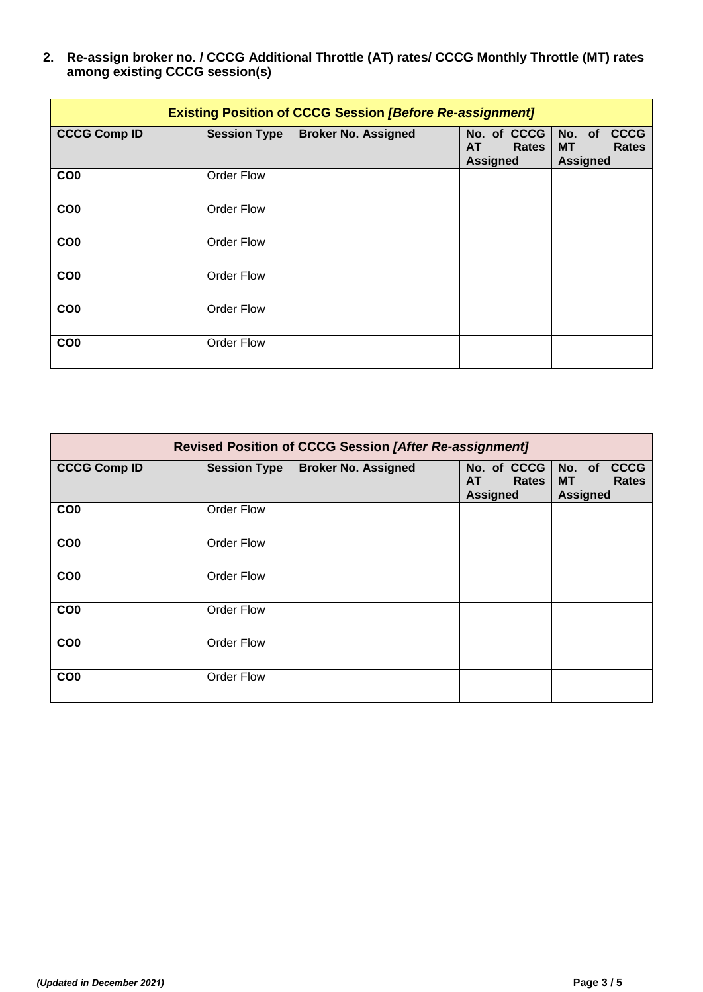**2. Re-assign broker no. / CCCG Additional Throttle (AT) rates/ CCCG Monthly Throttle (MT) rates among existing CCCG session(s)**

| <b>Existing Position of CCCG Session [Before Re-assignment]</b> |                     |                            |                                                      |                                                                                 |  |  |  |
|-----------------------------------------------------------------|---------------------|----------------------------|------------------------------------------------------|---------------------------------------------------------------------------------|--|--|--|
| <b>CCCG Comp ID</b>                                             | <b>Session Type</b> | <b>Broker No. Assigned</b> | No. of CCCG<br><b>Rates</b><br>AT<br><b>Assigned</b> | <b>CCCG</b><br>No.<br><b>of</b><br><b>MT</b><br><b>Rates</b><br><b>Assigned</b> |  |  |  |
| CO <sub>0</sub>                                                 | <b>Order Flow</b>   |                            |                                                      |                                                                                 |  |  |  |
| CO <sub>0</sub>                                                 | Order Flow          |                            |                                                      |                                                                                 |  |  |  |
| CO <sub>0</sub>                                                 | <b>Order Flow</b>   |                            |                                                      |                                                                                 |  |  |  |
| CO <sub>0</sub>                                                 | Order Flow          |                            |                                                      |                                                                                 |  |  |  |
| CO <sub>0</sub>                                                 | Order Flow          |                            |                                                      |                                                                                 |  |  |  |
| CO <sub>0</sub>                                                 | Order Flow          |                            |                                                      |                                                                                 |  |  |  |

| <b>Revised Position of CCCG Session [After Re-assignment]</b> |                     |                            |                                                             |                                                                       |  |  |  |
|---------------------------------------------------------------|---------------------|----------------------------|-------------------------------------------------------------|-----------------------------------------------------------------------|--|--|--|
| <b>CCCG Comp ID</b>                                           | <b>Session Type</b> | <b>Broker No. Assigned</b> | No. of CCCG<br><b>AT</b><br><b>Rates</b><br><b>Assigned</b> | <b>CCCG</b><br>No. of<br><b>MT</b><br><b>Rates</b><br><b>Assigned</b> |  |  |  |
| CO <sub>0</sub>                                               | <b>Order Flow</b>   |                            |                                                             |                                                                       |  |  |  |
| CO <sub>0</sub>                                               | Order Flow          |                            |                                                             |                                                                       |  |  |  |
| CO <sub>0</sub>                                               | <b>Order Flow</b>   |                            |                                                             |                                                                       |  |  |  |
| CO <sub>0</sub>                                               | Order Flow          |                            |                                                             |                                                                       |  |  |  |
| CO <sub>0</sub>                                               | <b>Order Flow</b>   |                            |                                                             |                                                                       |  |  |  |
| CO <sub>0</sub>                                               | <b>Order Flow</b>   |                            |                                                             |                                                                       |  |  |  |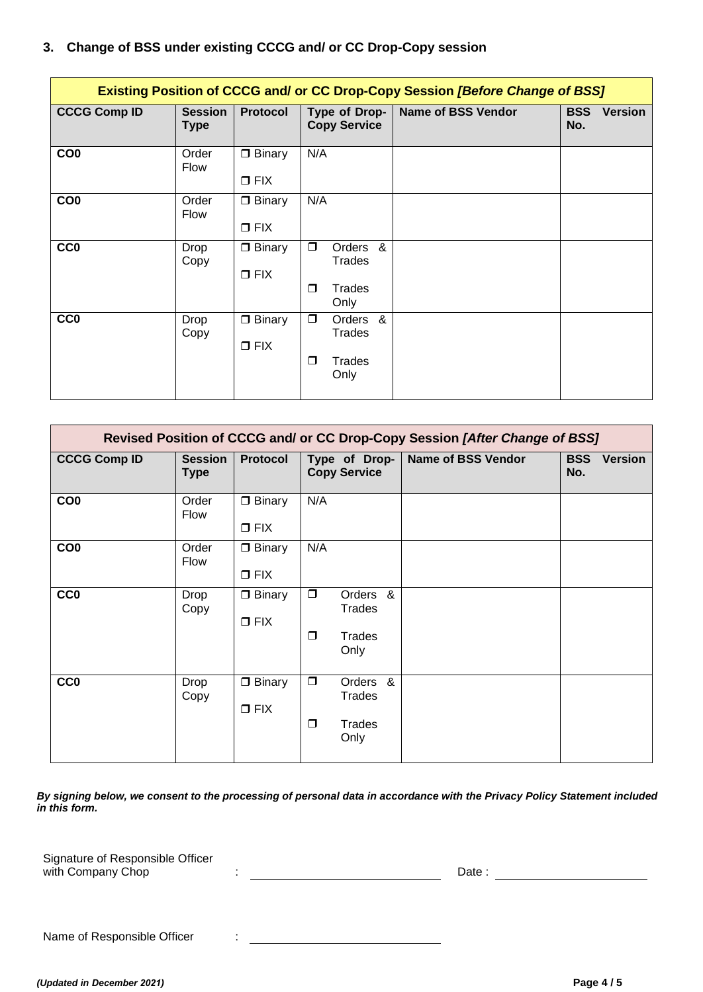# **3. Change of BSS under existing CCCG and/ or CC Drop-Copy session**

| Existing Position of CCCG and/ or CC Drop-Copy Session [Before Change of BSS] |                               |                                |                                                                   |                                     |  |  |  |
|-------------------------------------------------------------------------------|-------------------------------|--------------------------------|-------------------------------------------------------------------|-------------------------------------|--|--|--|
| <b>CCCG Comp ID</b>                                                           | <b>Session</b><br><b>Type</b> | <b>Protocol</b>                | <b>Name of BSS Vendor</b><br>Type of Drop-<br><b>Copy Service</b> | <b>BSS</b><br><b>Version</b><br>No. |  |  |  |
| CO <sub>0</sub>                                                               | Order<br><b>Flow</b>          | $\Box$ Binary<br>$\Box$ FIX    | N/A                                                               |                                     |  |  |  |
| CO <sub>0</sub>                                                               | Order<br>Flow                 | $\Box$ Binary<br>$\Box$ FIX    | N/A                                                               |                                     |  |  |  |
| <b>CC0</b>                                                                    | Drop<br>Copy                  | $\Box$ Binary<br>$\square$ FIX | $\Box$<br>&<br>Orders<br>Trades<br>$\Box$<br>Trades<br>Only       |                                     |  |  |  |
| <b>CCO</b>                                                                    | Drop<br>Copy                  | $\Box$ Binary<br>$\Box$ FIX    | $\Box$<br>Orders<br>&<br>Trades<br>$\Box$<br>Trades<br>Only       |                                     |  |  |  |

| Revised Position of CCCG and/ or CC Drop-Copy Session [After Change of BSS] |                               |                                |                  |                                                       |                           |                   |                |
|-----------------------------------------------------------------------------|-------------------------------|--------------------------------|------------------|-------------------------------------------------------|---------------------------|-------------------|----------------|
| <b>CCCG Comp ID</b>                                                         | <b>Session</b><br><b>Type</b> | Protocol                       |                  | Type of Drop-<br><b>Copy Service</b>                  | <b>Name of BSS Vendor</b> | <b>BSS</b><br>No. | <b>Version</b> |
| CO <sub>0</sub>                                                             | Order<br>Flow                 | $\Box$ Binary<br>$\square$ FIX | N/A              |                                                       |                           |                   |                |
| CO <sub>0</sub>                                                             | Order<br>Flow                 | $\Box$ Binary<br>$\square$ FIX | N/A              |                                                       |                           |                   |                |
| <b>CCO</b>                                                                  | Drop<br>Copy                  | $\Box$ Binary<br>$\square$ FIX | $\Box$<br>$\Box$ | Orders &<br><b>Trades</b><br><b>Trades</b><br>Only    |                           |                   |                |
| <b>CC0</b>                                                                  | Drop<br>Copy                  | $\Box$ Binary<br>$\square$ FIX | $\Box$<br>$\Box$ | Orders<br>&<br><b>Trades</b><br><b>Trades</b><br>Only |                           |                   |                |

*By signing below, we consent to the processing of personal data in accordance with the Privacy Policy Statement included in this form.*

Signature of Responsible Officer with Company Chop : Date :

Name of Responsible Officer : \_\_\_\_\_